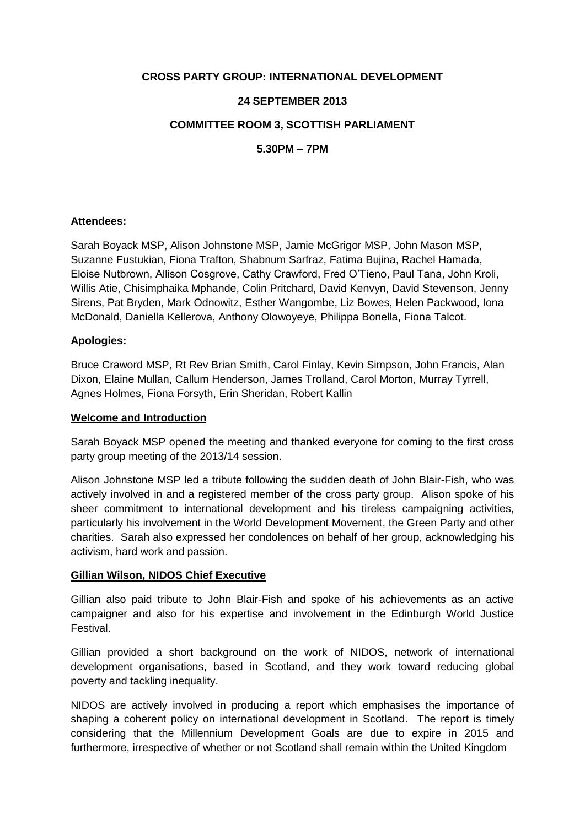## **CROSS PARTY GROUP: INTERNATIONAL DEVELOPMENT**

## **24 SEPTEMBER 2013**

## **COMMITTEE ROOM 3, SCOTTISH PARLIAMENT**

**5.30PM – 7PM**

## **Attendees:**

Sarah Boyack MSP, Alison Johnstone MSP, Jamie McGrigor MSP, John Mason MSP, Suzanne Fustukian, Fiona Trafton, Shabnum Sarfraz, Fatima Bujina, Rachel Hamada, Eloise Nutbrown, Allison Cosgrove, Cathy Crawford, Fred O'Tieno, Paul Tana, John Kroli, Willis Atie, Chisimphaika Mphande, Colin Pritchard, David Kenvyn, David Stevenson, Jenny Sirens, Pat Bryden, Mark Odnowitz, Esther Wangombe, Liz Bowes, Helen Packwood, Iona McDonald, Daniella Kellerova, Anthony Olowoyeye, Philippa Bonella, Fiona Talcot.

### **Apologies:**

Bruce Craword MSP, Rt Rev Brian Smith, Carol Finlay, Kevin Simpson, John Francis, Alan Dixon, Elaine Mullan, Callum Henderson, James Trolland, Carol Morton, Murray Tyrrell, Agnes Holmes, Fiona Forsyth, Erin Sheridan, Robert Kallin

#### **Welcome and Introduction**

Sarah Boyack MSP opened the meeting and thanked everyone for coming to the first cross party group meeting of the 2013/14 session.

Alison Johnstone MSP led a tribute following the sudden death of John Blair-Fish, who was actively involved in and a registered member of the cross party group. Alison spoke of his sheer commitment to international development and his tireless campaigning activities, particularly his involvement in the World Development Movement, the Green Party and other charities. Sarah also expressed her condolences on behalf of her group, acknowledging his activism, hard work and passion.

### **Gillian Wilson, NIDOS Chief Executive**

Gillian also paid tribute to John Blair-Fish and spoke of his achievements as an active campaigner and also for his expertise and involvement in the Edinburgh World Justice Festival.

Gillian provided a short background on the work of NIDOS, network of international development organisations, based in Scotland, and they work toward reducing global poverty and tackling inequality.

NIDOS are actively involved in producing a report which emphasises the importance of shaping a coherent policy on international development in Scotland. The report is timely considering that the Millennium Development Goals are due to expire in 2015 and furthermore, irrespective of whether or not Scotland shall remain within the United Kingdom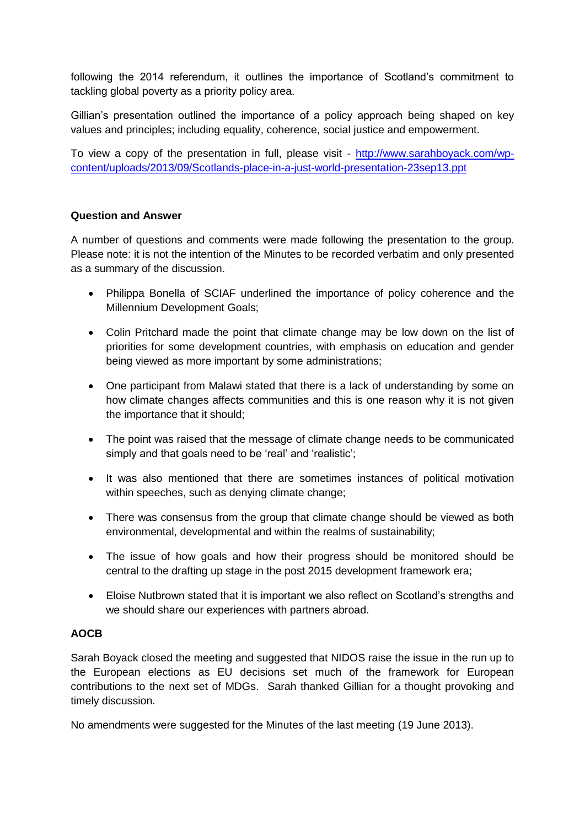following the 2014 referendum, it outlines the importance of Scotland's commitment to tackling global poverty as a priority policy area.

Gillian's presentation outlined the importance of a policy approach being shaped on key values and principles; including equality, coherence, social justice and empowerment.

To view a copy of the presentation in full, please visit - [http://www.sarahboyack.com/wp](http://www.sarahboyack.com/wp-content/uploads/2013/09/Scotlands-place-in-a-just-world-presentation-23sep13.ppt)[content/uploads/2013/09/Scotlands-place-in-a-just-world-presentation-23sep13.ppt](http://www.sarahboyack.com/wp-content/uploads/2013/09/Scotlands-place-in-a-just-world-presentation-23sep13.ppt)

# **Question and Answer**

A number of questions and comments were made following the presentation to the group. Please note: it is not the intention of the Minutes to be recorded verbatim and only presented as a summary of the discussion.

- Philippa Bonella of SCIAF underlined the importance of policy coherence and the Millennium Development Goals;
- Colin Pritchard made the point that climate change may be low down on the list of priorities for some development countries, with emphasis on education and gender being viewed as more important by some administrations;
- One participant from Malawi stated that there is a lack of understanding by some on how climate changes affects communities and this is one reason why it is not given the importance that it should;
- The point was raised that the message of climate change needs to be communicated simply and that goals need to be 'real' and 'realistic';
- It was also mentioned that there are sometimes instances of political motivation within speeches, such as denying climate change;
- There was consensus from the group that climate change should be viewed as both environmental, developmental and within the realms of sustainability;
- The issue of how goals and how their progress should be monitored should be central to the drafting up stage in the post 2015 development framework era;
- Eloise Nutbrown stated that it is important we also reflect on Scotland's strengths and we should share our experiences with partners abroad.

## **AOCB**

Sarah Boyack closed the meeting and suggested that NIDOS raise the issue in the run up to the European elections as EU decisions set much of the framework for European contributions to the next set of MDGs. Sarah thanked Gillian for a thought provoking and timely discussion.

No amendments were suggested for the Minutes of the last meeting (19 June 2013).